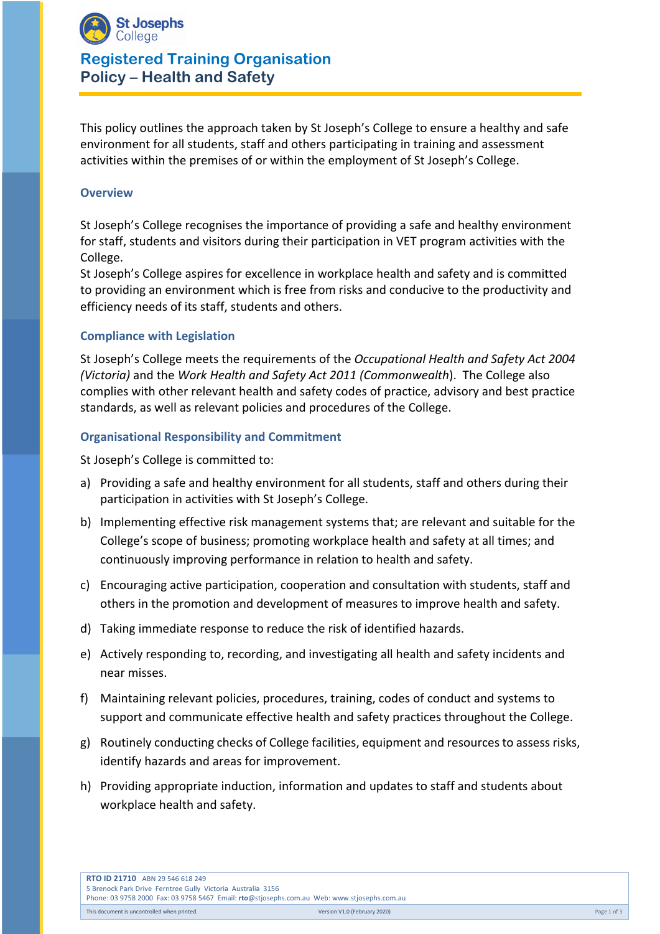

## **Registered Training Organisation Policy – Health and Safety**

This policy outlines the approach taken by St Joseph's College to ensure a healthy and safe environment for all students, staff and others participating in training and assessment activities within the premises of or within the employment of St Joseph's College.

#### **Overview**

St Joseph's College recognises the importance of providing a safe and healthy environment for staff, students and visitors during their participation in VET program activities with the College.

St Joseph's College aspires for excellence in workplace health and safety and is committed to providing an environment which is free from risks and conducive to the productivity and efficiency needs of its staff, students and others.

#### **Compliance with Legislation**

St Joseph's College meets the requirements of the *Occupational Health and Safety Act 2004 (Victoria)* and the *Work Health and Safety Act 2011 (Commonwealth*). The College also complies with other relevant health and safety codes of practice, advisory and best practice standards, as well as relevant policies and procedures of the College.

#### **Organisational Responsibility and Commitment**

St Joseph's College is committed to:

- a) Providing a safe and healthy environment for all students, staff and others during their participation in activities with St Joseph's College.
- b) Implementing effective risk management systems that; are relevant and suitable for the College's scope of business; promoting workplace health and safety at all times; and continuously improving performance in relation to health and safety.
- c) Encouraging active participation, cooperation and consultation with students, staff and others in the promotion and development of measures to improve health and safety.
- d) Taking immediate response to reduce the risk of identified hazards.
- e) Actively responding to, recording, and investigating all health and safety incidents and near misses.
- f) Maintaining relevant policies, procedures, training, codes of conduct and systems to support and communicate effective health and safety practices throughout the College.
- g) Routinely conducting checks of College facilities, equipment and resources to assess risks, identify hazards and areas for improvement.
- h) Providing appropriate induction, information and updates to staff and students about workplace health and safety.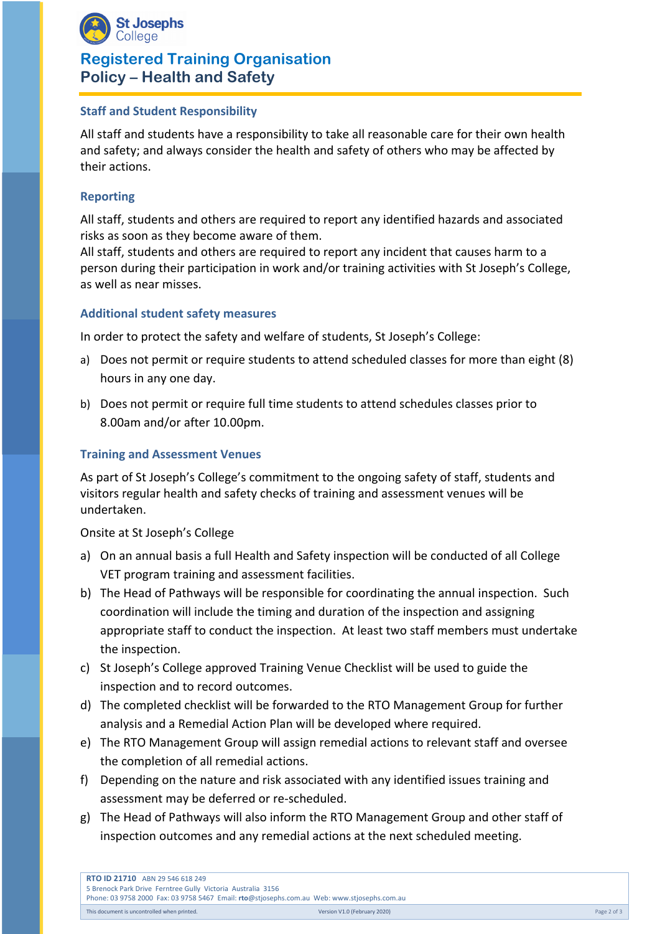

# **Registered Training Organisation Policy – Health and Safety**

## **Staff and Student Responsibility**

All staff and students have a responsibility to take all reasonable care for their own health and safety; and always consider the health and safety of others who may be affected by their actions.

## **Reporting**

All staff, students and others are required to report any identified hazards and associated risks as soon as they become aware of them.

All staff, students and others are required to report any incident that causes harm to a person during their participation in work and/or training activities with St Joseph's College, as well as near misses.

#### **Additional student safety measures**

In order to protect the safety and welfare of students, St Joseph's College:

- a) Does not permit or require students to attend scheduled classes for more than eight (8) hours in any one day.
- b) Does not permit or require full time students to attend schedules classes prior to 8.00am and/or after 10.00pm.

#### **Training and Assessment Venues**

As part of St Joseph's College's commitment to the ongoing safety of staff, students and visitors regular health and safety checks of training and assessment venues will be undertaken.

#### Onsite at St Joseph's College

- a) On an annual basis a full Health and Safety inspection will be conducted of all College VET program training and assessment facilities.
- b) The Head of Pathways will be responsible for coordinating the annual inspection. Such coordination will include the timing and duration of the inspection and assigning appropriate staff to conduct the inspection. At least two staff members must undertake the inspection.
- c) St Joseph's College approved Training Venue Checklist will be used to guide the inspection and to record outcomes.
- d) The completed checklist will be forwarded to the RTO Management Group for further analysis and a Remedial Action Plan will be developed where required.
- e) The RTO Management Group will assign remedial actions to relevant staff and oversee the completion of all remedial actions.
- f) Depending on the nature and risk associated with any identified issues training and assessment may be deferred or re-scheduled.
- g) The Head of Pathways will also inform the RTO Management Group and other staff of inspection outcomes and any remedial actions at the next scheduled meeting.